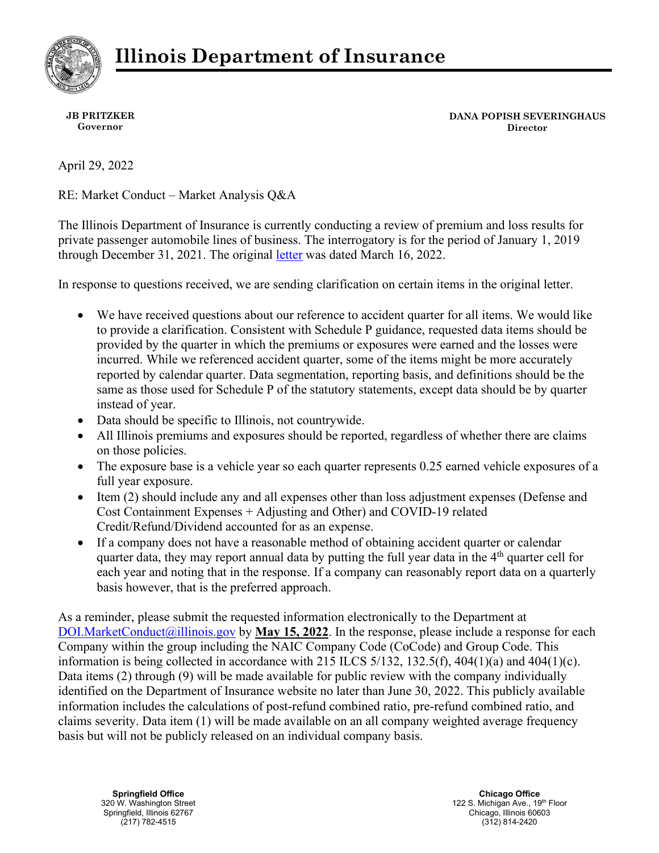

**JB PRITZKER Governor**

**DANA POPISH SEVERINGHAUS Director**

April 29, 2022

RE: Market Conduct – Market Analysis Q&A

The Illinois Department of Insurance is currently conducting a review of premium and loss results for private passenger automobile lines of business. The interrogatory is for the period of January 1, 2019 through December 31, 2021. The original [letter](https://www2.illinois.gov/sites/Insurance/Reports/Reports/Covid-19_Auto_Data_Call_Letter.pdf) was dated March 16, 2022.

In response to questions received, we are sending clarification on certain items in the original letter.

- We have received questions about our reference to accident quarter for all items. We would like to provide a clarification. Consistent with Schedule P guidance, requested data items should be provided by the quarter in which the premiums or exposures were earned and the losses were incurred. While we referenced accident quarter, some of the items might be more accurately reported by calendar quarter. Data segmentation, reporting basis, and definitions should be the same as those used for Schedule P of the statutory statements, except data should be by quarter instead of year.
- Data should be specific to Illinois, not countrywide.
- All Illinois premiums and exposures should be reported, regardless of whether there are claims on those policies.
- The exposure base is a vehicle year so each quarter represents 0.25 earned vehicle exposures of a full year exposure.
- Item (2) should include any and all expenses other than loss adjustment expenses (Defense and Cost Containment Expenses + Adjusting and Other) and COVID-19 related Credit/Refund/Dividend accounted for as an expense.
- If a company does not have a reasonable method of obtaining accident quarter or calendar quarter data, they may report annual data by putting the full year data in the  $4<sup>th</sup>$  quarter cell for each year and noting that in the response. If a company can reasonably report data on a quarterly basis however, that is the preferred approach.

As a reminder, please submit the requested information electronically to the Department at [DOI.MarketConduct@illinois.gov](mailto:DOI.MarketConduct@illinois.gov) by **May 15, 2022**. In the response, please include a response for each Company within the group including the NAIC Company Code (CoCode) and Group Code. This information is being collected in accordance with 215 ILCS 5/132, 132.5(f), 404(1)(a) and 404(1)(c). Data items (2) through (9) will be made available for public review with the company individually identified on the Department of Insurance website no later than June 30, 2022. This publicly available information includes the calculations of post-refund combined ratio, pre-refund combined ratio, and claims severity. Data item (1) will be made available on an all company weighted average frequency basis but will not be publicly released on an individual company basis.

**Springfield Office** 320 W. Washington Street Springfield, Illinois 62767 (217) 782-4515

**Chicago Office** 122 S. Michigan Ave., 19th Floor Chicago, Illinois 60603 (312) 814-2420